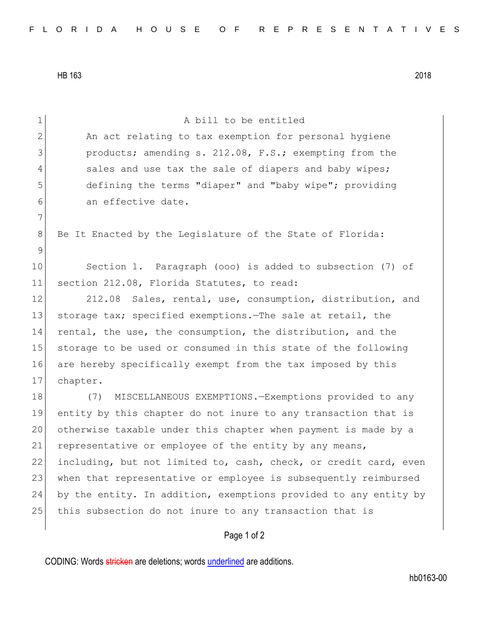HB 163 2018

| $\mathbf 1$  | A bill to be entitled                                            |
|--------------|------------------------------------------------------------------|
| $\mathbf{2}$ | An act relating to tax exemption for personal hygiene            |
| 3            | products; amending s. 212.08, F.S.; exempting from the           |
| 4            | sales and use tax the sale of diapers and baby wipes;            |
| 5            | defining the terms "diaper" and "baby wipe"; providing           |
| 6            | an effective date.                                               |
| 7            |                                                                  |
| 8            | Be It Enacted by the Legislature of the State of Florida:        |
| 9            |                                                                  |
| 10           | Section 1. Paragraph (000) is added to subsection (7) of         |
| 11           | section 212.08, Florida Statutes, to read:                       |
| 12           | 212.08<br>Sales, rental, use, consumption, distribution, and     |
| 13           | storage tax; specified exemptions. The sale at retail, the       |
| 14           | rental, the use, the consumption, the distribution, and the      |
| 15           | storage to be used or consumed in this state of the following    |
| 16           | are hereby specifically exempt from the tax imposed by this      |
| 17           | chapter.                                                         |
| 18           | MISCELLANEOUS EXEMPTIONS. - Exemptions provided to any<br>(7)    |
| 19           | entity by this chapter do not inure to any transaction that is   |
| 20           | otherwise taxable under this chapter when payment is made by a   |
| 21           | representative or employee of the entity by any means,           |
| 22           | including, but not limited to, cash, check, or credit card, even |
| 23           | when that representative or employee is subsequently reimbursed  |
| 24           | by the entity. In addition, exemptions provided to any entity by |
| 25           | this subsection do not inure to any transaction that is          |
|              |                                                                  |
|              | Page 1 of 2                                                      |

CODING: Words stricken are deletions; words underlined are additions.